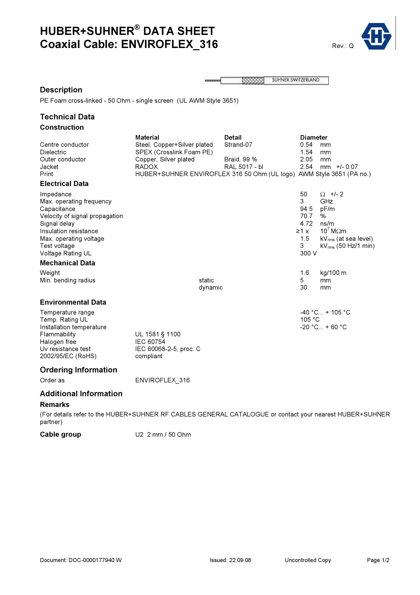## HUBER+SUHNER® DATA SHEET Coaxial Cable: ENVIROFLEX\_316 Rev.: Q



SUHNER SWITZERLAND **BEERS**  $\sim$ 

## Description

PE Foam cross-linked - 50 Ohm - single screen (UL AWM Style 3651)

### Technical Data Construction

| Centre conductor<br><b>Dielectric</b><br>Outer conductor<br>Jacket<br>Print<br><b>Electrical Data</b>                                                                                                                    | <b>Material</b><br>Steel, Copper+Silver plated<br>SPEX (Crosslink Foam PE)<br>Copper, Silver plated<br><b>RADOX</b><br>HUBER+SUHNER ENVIROFLEX 316 50 Ohm (UL logo) AWM Style 3651 (PA no.) | <b>Detail</b><br>Strand-07<br>Braid, 99 %<br>RAL 5017 - bl | <b>Diameter</b><br>0.54<br>1.54<br>2.05<br>2.54                    | mm<br>mm<br>mm<br>$mm$ +/- 0.07                                                                                                   |
|--------------------------------------------------------------------------------------------------------------------------------------------------------------------------------------------------------------------------|---------------------------------------------------------------------------------------------------------------------------------------------------------------------------------------------|------------------------------------------------------------|--------------------------------------------------------------------|-----------------------------------------------------------------------------------------------------------------------------------|
| Impedance<br>Max. operating frequency<br>Capacitance<br>Velocity of signal propagation<br>Signal delay<br>Insulation resistance<br>Max. operating voltage<br>Test voltage<br>Voltage Rating UL<br><b>Mechanical Data</b> |                                                                                                                                                                                             |                                                            | 50<br>3<br>94.5<br>70.7<br>4.72<br>$\geq 1$ x<br>1.5<br>3<br>300 V | $\Omega$ +/- 2<br>GHz<br>pF/m<br>%<br>ns/m<br>$10^7$ M $\Omega$ m<br>kV <sub>rms</sub> (at sea level)<br>$kV_{rms}$ (50 Hz/1 min) |
| Weight<br>Min. bending radius                                                                                                                                                                                            | static<br>dynamic                                                                                                                                                                           |                                                            | 1.6<br>5<br>30                                                     | kg/100 m<br>mm<br>mm                                                                                                              |
| <b>Environmental Data</b><br>Temperature range<br>Temp. Rating UL<br>Installation temperature<br>Flammability<br>Halogen free<br>Uv resistance test<br>2002/95/EC (RoHS)                                                 | UL 1581 § 1100<br>IEC 60754<br>IEC 60068-2-5, proc. C<br>compliant                                                                                                                          |                                                            | 105 °C                                                             | $-40$ °C + 105 °C<br>$-20 °C_{\dots} + 60 °C$                                                                                     |
| <b>Ordering Information</b><br>Order as<br><b>Additional Information</b>                                                                                                                                                 | ENVIROFLEX 316                                                                                                                                                                              |                                                            |                                                                    |                                                                                                                                   |

### Remarks

(For details refer to the HUBER+SUHNER RF CABLES GENERAL CATALOGUE or contact your nearest HUBER+SUHNER partner)

Cable group U2 2 mm / 50 Ohm